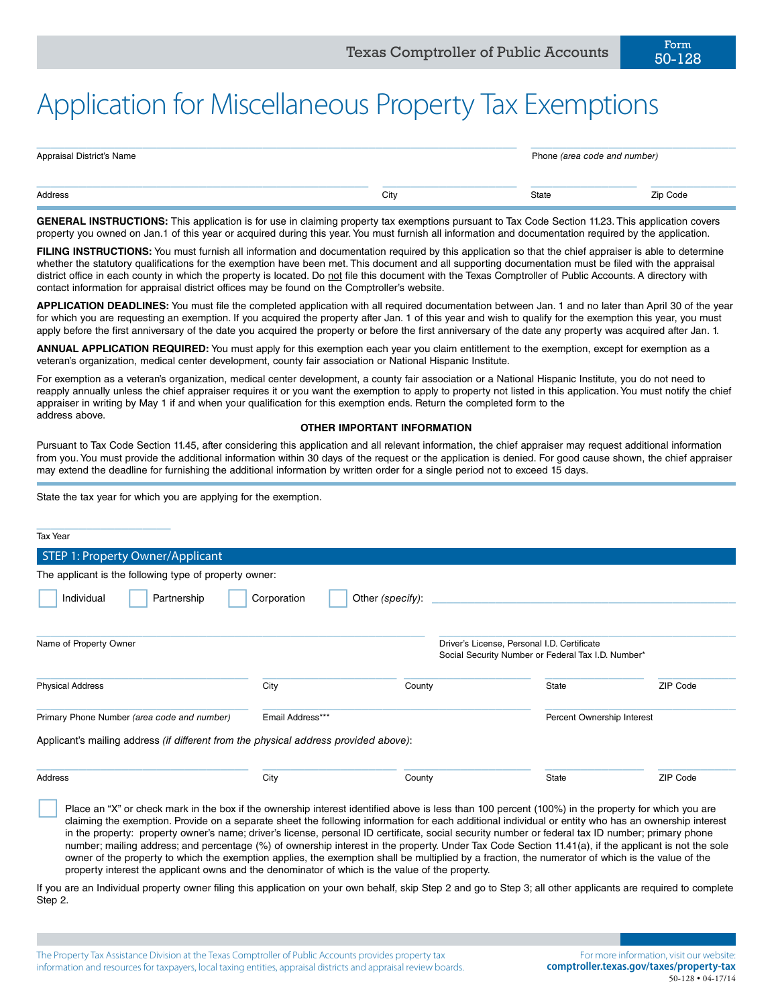## Application for Miscellaneous Property Tax Exemptions

| Appraisal District's Name |      | Phone (area code and number) |          |
|---------------------------|------|------------------------------|----------|
| Address                   | City | State                        | Zip Code |

**GENERAL INSTRUCTIONS:** This application is for use in claiming property tax exemptions pursuant to Tax Code Section 11.23. This application covers property you owned on Jan.1 of this year or acquired during this year. You must furnish all information and documentation required by the application.

FILING INSTRUCTIONS: You must furnish all information and documentation required by this application so that the chief appraiser is able to determine whether the statutory qualifications for the exemption have been met. This document and all supporting documentation must be filed with the appraisal district office in each county in which the property is located. Do not file this document with the Texas Comptroller of Public Accounts. A directory with contact information for appraisal district offices may be found on the Comptroller's website.

**APPLICATION DEADLINES:** You must file the completed application with all required documentation between Jan. 1 and no later than April 30 of the year for which you are requesting an exemption. If you acquired the property after Jan. 1 of this year and wish to qualify for the exemption this year, you must apply before the first anniversary of the date you acquired the property or before the first anniversary of the date any property was acquired after Jan. 1.

**ANNUAL APPLICATION REQUIRED:** You must apply for this exemption each year you claim entitlement to the exemption, except for exemption as a veteran's organization, medical center development, county fair association or National Hispanic Institute.

For exemption as a veteran's organization, medical center development, a county fair association or a National Hispanic Institute, you do not need to reapply annually unless the chief appraiser requires it or you want the exemption to apply to property not listed in this application. You must notify the chief appraiser in writing by May 1 if and when your qualification for this exemption ends. Return the completed form to the address above.

## **OTHER IMPORTANT INFORMATION**

Pursuant to Tax Code Section 11.45, after considering this application and all relevant information, the chief appraiser may request additional information from you. You must provide the additional information within 30 days of the request or the application is denied. For good cause shown, the chief appraiser may extend the deadline for furnishing the additional information by written order for a single period not to exceed 15 days.

State the tax year for which you are applying for the exemption.

| <b>Tax Year</b>                                                                              |                  |                  |                                                                                                   |                            |          |
|----------------------------------------------------------------------------------------------|------------------|------------------|---------------------------------------------------------------------------------------------------|----------------------------|----------|
| STEP 1: Property Owner/Applicant                                                             |                  |                  |                                                                                                   |                            |          |
| The applicant is the following type of property owner:                                       |                  |                  |                                                                                                   |                            |          |
| Individual<br>Partnership                                                                    | Corporation      | Other (specify): |                                                                                                   |                            |          |
| Name of Property Owner                                                                       |                  |                  | Driver's License, Personal I.D. Certificate<br>Social Security Number or Federal Tax I.D. Number* |                            |          |
| <b>Physical Address</b>                                                                      | City             | County           |                                                                                                   | State                      | ZIP Code |
| Primary Phone Number (area code and number)                                                  | Email Address*** |                  |                                                                                                   | Percent Ownership Interest |          |
| Applicant's mailing address <i>(if different from the physical address provided above)</i> : |                  |                  |                                                                                                   |                            |          |
| Address                                                                                      | City             | County           |                                                                                                   | State                      | ZIP Code |

Place an "X" or check mark in the box if the ownership interest identified above is less than 100 percent (100%) in the property for which you are claiming the exemption. Provide on a separate sheet the following information for each additional individual or entity who has an ownership interest in the property: property owner's name; driver's license, personal ID certificate, social security number or federal tax ID number; primary phone number; mailing address; and percentage (%) of ownership interest in the property. Under Tax Code Section 11.41(a), if the applicant is not the sole owner of the property to which the exemption applies, the exemption shall be multiplied by a fraction, the numerator of which is the value of the property interest the applicant owns and the denominator of which is the value of the property.

If you are an Individual property owner filing this application on your own behalf, skip Step 2 and go to Step 3; all other applicants are required to complete Step 2.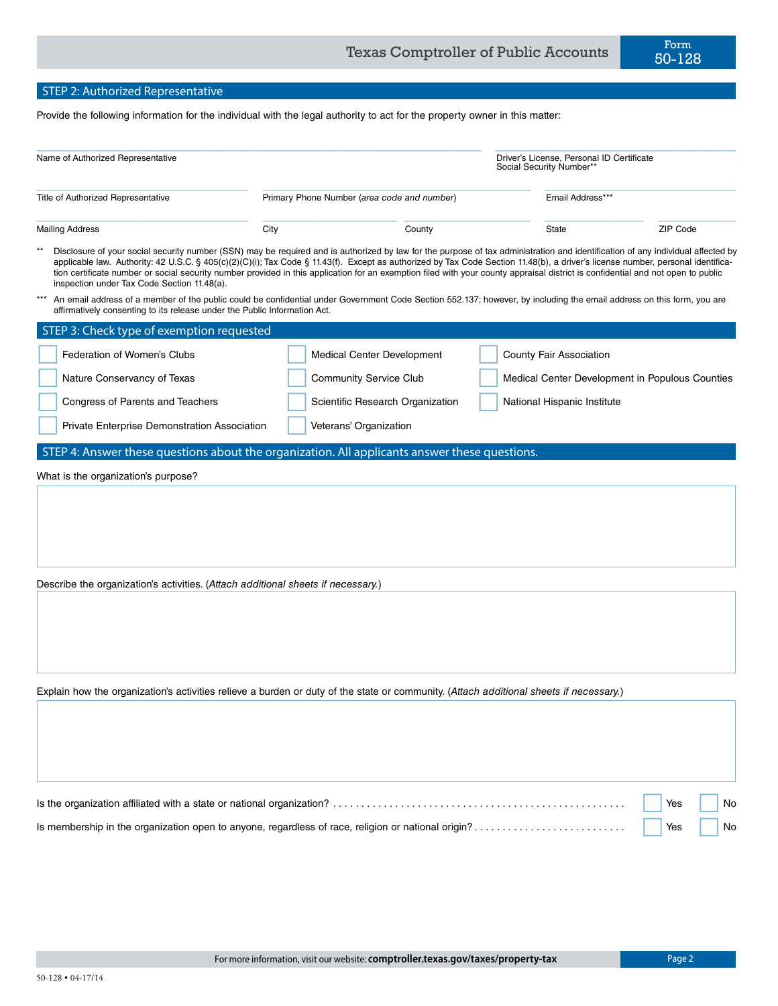## STEP 2: Authorized Representative

Provide the following information for the individual with the legal authority to act for the property owner in this matter:

| Name of Authorized Representative                                                                                                                                                                                                                                                                                                                                                                                                                                                                                                                                                                     |                                             |        | Driver's License, Personal ID Certificate<br>Social Security Number*' |                                                 |
|-------------------------------------------------------------------------------------------------------------------------------------------------------------------------------------------------------------------------------------------------------------------------------------------------------------------------------------------------------------------------------------------------------------------------------------------------------------------------------------------------------------------------------------------------------------------------------------------------------|---------------------------------------------|--------|-----------------------------------------------------------------------|-------------------------------------------------|
| Title of Authorized Representative                                                                                                                                                                                                                                                                                                                                                                                                                                                                                                                                                                    | Primary Phone Number (area code and number) |        | Email Address***                                                      |                                                 |
| <b>Mailing Address</b>                                                                                                                                                                                                                                                                                                                                                                                                                                                                                                                                                                                | City                                        | County | State                                                                 | ZIP Code                                        |
| Disclosure of your social security number (SSN) may be required and is authorized by law for the purpose of tax administration and identification of any individual affected by<br>applicable law. Authority: 42 U.S.C. § 405(c)(2)(C)(i); Tax Code § 11.43(f). Except as authorized by Tax Code Section 11.48(b), a driver's license number, personal identifica-<br>tion certificate number or social security number provided in this application for an exemption filed with your county appraisal district is confidential and not open to public<br>inspection under Tax Code Section 11.48(a). |                                             |        |                                                                       |                                                 |
| An email address of a member of the public could be confidential under Government Code Section 552.137; however, by including the email address on this form, you are<br>affirmatively consenting to its release under the Public Information Act.                                                                                                                                                                                                                                                                                                                                                    |                                             |        |                                                                       |                                                 |
| STEP 3: Check type of exemption requested                                                                                                                                                                                                                                                                                                                                                                                                                                                                                                                                                             |                                             |        |                                                                       |                                                 |
| Federation of Women's Clubs                                                                                                                                                                                                                                                                                                                                                                                                                                                                                                                                                                           | Medical Center Development                  |        | County Fair Association                                               |                                                 |
| Nature Conservancy of Texas                                                                                                                                                                                                                                                                                                                                                                                                                                                                                                                                                                           | <b>Community Service Club</b>               |        |                                                                       | Medical Center Development in Populous Counties |
| Congress of Parents and Teachers                                                                                                                                                                                                                                                                                                                                                                                                                                                                                                                                                                      | Scientific Research Organization            |        | National Hispanic Institute                                           |                                                 |
| Private Enterprise Demonstration Association                                                                                                                                                                                                                                                                                                                                                                                                                                                                                                                                                          | Veterans' Organization                      |        |                                                                       |                                                 |
| STEP 4: Answer these questions about the organization. All applicants answer these questions.                                                                                                                                                                                                                                                                                                                                                                                                                                                                                                         |                                             |        |                                                                       |                                                 |
| Describe the organization's activities. (Attach additional sheets if necessary.)<br>Explain how the organization's activities relieve a burden or duty of the state or community. (Attach additional sheets if necessary.)                                                                                                                                                                                                                                                                                                                                                                            |                                             |        |                                                                       |                                                 |
|                                                                                                                                                                                                                                                                                                                                                                                                                                                                                                                                                                                                       |                                             |        |                                                                       | Yes<br>No                                       |
| Is membership in the organization open to anyone, regardless of race, religion or national origin?                                                                                                                                                                                                                                                                                                                                                                                                                                                                                                    |                                             |        |                                                                       | Yes<br>No                                       |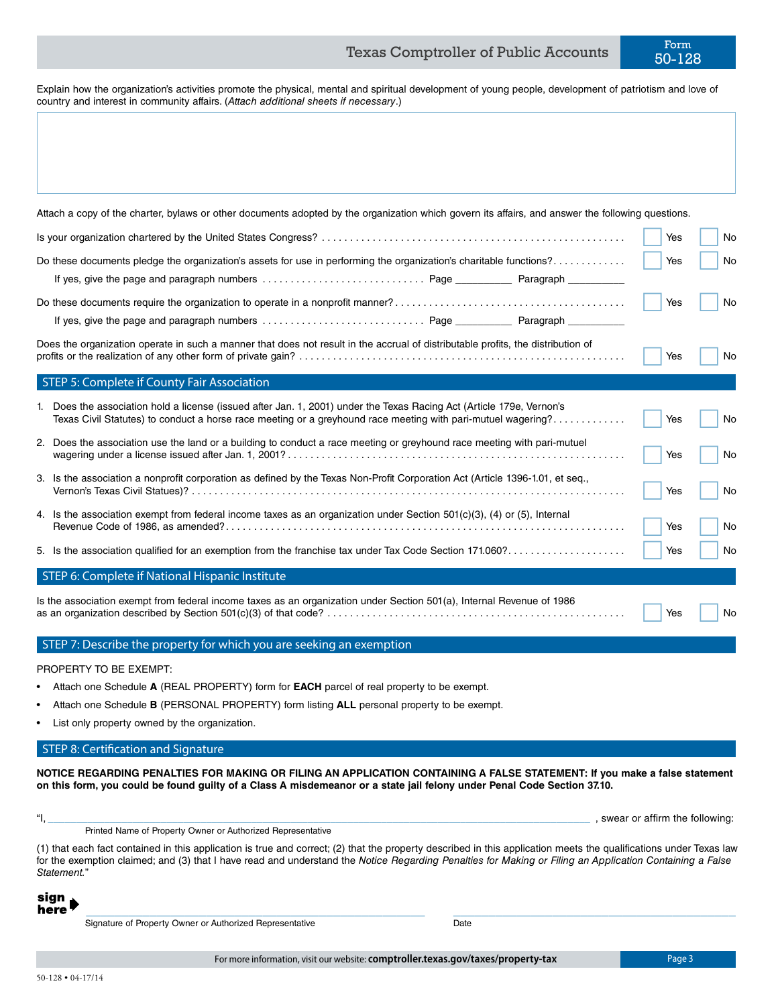Explain how the organization's activities promote the physical, mental and spiritual development of young people, development of patriotism and love of country and interest in community affairs. (*Attach additional sheets if necessary*.)

| sign<br>here' | Signature of Property Owner or Authorized Representative<br>Date                                                                                                                                                                                                                                                                              |                                  |     |
|---------------|-----------------------------------------------------------------------------------------------------------------------------------------------------------------------------------------------------------------------------------------------------------------------------------------------------------------------------------------------|----------------------------------|-----|
|               | (1) that each fact contained in this application is true and correct; (2) that the property described in this application meets the qualifications under Texas law<br>for the exemption claimed; and (3) that I have read and understand the Notice Regarding Penalties for Making or Filing an Application Containing a False<br>Statement." |                                  |     |
|               | Printed Name of Property Owner or Authorized Representative                                                                                                                                                                                                                                                                                   | , swear or affirm the following: |     |
|               | on this form, you could be found guilty of a Class A misdemeanor or a state jail felony under Penal Code Section 37.10.                                                                                                                                                                                                                       |                                  |     |
|               | NOTICE REGARDING PENALTIES FOR MAKING OR FILING AN APPLICATION CONTAINING A FALSE STATEMENT: If you make a false statement                                                                                                                                                                                                                    |                                  |     |
|               | <b>STEP 8: Certification and Signature</b>                                                                                                                                                                                                                                                                                                    |                                  |     |
|               | Attach one Schedule <b>B</b> (PERSONAL PROPERTY) form listing <b>ALL</b> personal property to be exempt.<br>List only property owned by the organization.                                                                                                                                                                                     |                                  |     |
|               | Attach one Schedule A (REAL PROPERTY) form for <b>EACH</b> parcel of real property to be exempt.                                                                                                                                                                                                                                              |                                  |     |
|               | PROPERTY TO BE EXEMPT:                                                                                                                                                                                                                                                                                                                        |                                  |     |
|               | STEP 7: Describe the property for which you are seeking an exemption                                                                                                                                                                                                                                                                          |                                  |     |
|               | Is the association exempt from federal income taxes as an organization under Section 501(a), Internal Revenue of 1986                                                                                                                                                                                                                         | Yes                              | No  |
|               | STEP 6: Complete if National Hispanic Institute                                                                                                                                                                                                                                                                                               |                                  |     |
|               | 5. Is the association qualified for an exemption from the franchise tax under Tax Code Section 171.060?                                                                                                                                                                                                                                       | Yes                              | No. |
|               |                                                                                                                                                                                                                                                                                                                                               | Yes                              | No. |
|               | 4. Is the association exempt from federal income taxes as an organization under Section 501(c)(3), (4) or (5), Internal                                                                                                                                                                                                                       | Yes                              | No. |
|               | 3. Is the association a nonprofit corporation as defined by the Texas Non-Profit Corporation Act (Article 1396-1.01, et seq.,                                                                                                                                                                                                                 |                                  |     |
|               | 2. Does the association use the land or a building to conduct a race meeting or greyhound race meeting with pari-mutuel                                                                                                                                                                                                                       | Yes                              | No. |
|               | 1. Does the association hold a license (issued after Jan. 1, 2001) under the Texas Racing Act (Article 179e, Vernon's<br>Texas Civil Statutes) to conduct a horse race meeting or a greyhound race meeting with pari-mutuel wagering?                                                                                                         | Yes                              | No. |
|               | STEP 5: Complete if County Fair Association                                                                                                                                                                                                                                                                                                   |                                  |     |
|               | Does the organization operate in such a manner that does not result in the accrual of distributable profits, the distribution of                                                                                                                                                                                                              | Yes                              | No. |
|               |                                                                                                                                                                                                                                                                                                                                               |                                  |     |
|               |                                                                                                                                                                                                                                                                                                                                               | Yes                              | No. |
|               |                                                                                                                                                                                                                                                                                                                                               |                                  |     |
|               | Do these documents pledge the organization's assets for use in performing the organization's charitable functions?                                                                                                                                                                                                                            | Yes                              | No. |
|               |                                                                                                                                                                                                                                                                                                                                               | Yes                              | No. |
|               |                                                                                                                                                                                                                                                                                                                                               |                                  |     |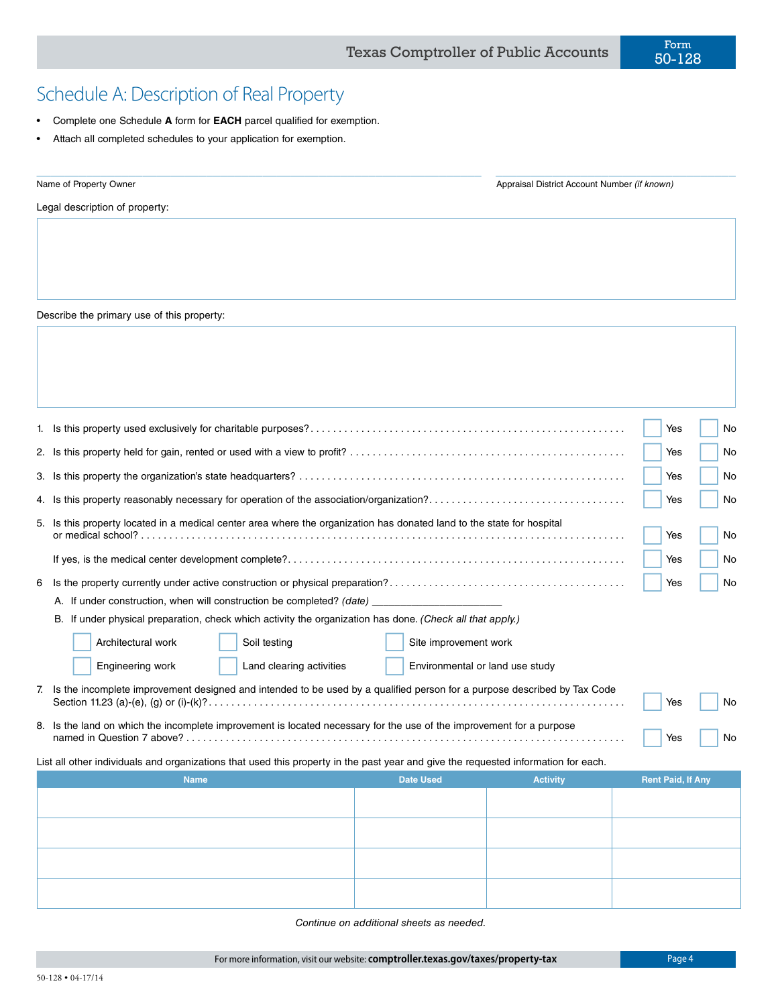## Schedule A: Description of Real Property

- Complete one Schedule **A** form for **EACH** parcel qualified for exemption.
- Attach all completed schedules to your application for exemption.

| Name of Property Owner         | Appraisal District Account Number (if known) |
|--------------------------------|----------------------------------------------|
| Legal description of property: |                                              |
|                                |                                              |

Describe the primary use of this property:

|    |                                                                                                                                    | Yes | No |  |  |
|----|------------------------------------------------------------------------------------------------------------------------------------|-----|----|--|--|
| 2. |                                                                                                                                    | Yes | No |  |  |
|    |                                                                                                                                    | Yes | No |  |  |
|    | 4. Is this property reasonably necessary for operation of the association/organization?                                            | Yes | No |  |  |
| 5. | Is this property located in a medical center area where the organization has donated land to the state for hospital<br>No<br>Yes   |     |    |  |  |
|    |                                                                                                                                    | Yes | No |  |  |
| 6  |                                                                                                                                    | Yes | No |  |  |
|    | A. If under construction, when will construction be completed? (date)                                                              |     |    |  |  |
|    | If under physical preparation, check which activity the organization has done. (Check all that apply.)<br>В.                       |     |    |  |  |
|    | Architectural work<br>Soil testing<br>Site improvement work                                                                        |     |    |  |  |
|    | Engineering work<br>Land clearing activities<br>Environmental or land use study                                                    |     |    |  |  |
| 7. | Is the incomplete improvement designed and intended to be used by a qualified person for a purpose described by Tax Code           | Yes | No |  |  |
|    | 8. Is the land on which the incomplete improvement is located necessary for the use of the improvement for a purpose<br>No<br>Yes  |     |    |  |  |
|    | List all other individuals and organizations that used this property in the past year and give the requested information for each. |     |    |  |  |

| <b>Name</b> | <b>Date Used</b> | <b>Activity</b> | <b>Rent Paid, If Any</b> |
|-------------|------------------|-----------------|--------------------------|
|             |                  |                 |                          |
|             |                  |                 |                          |
|             |                  |                 |                          |
|             |                  |                 |                          |
|             |                  |                 |                          |
|             |                  |                 |                          |
|             |                  |                 |                          |
|             |                  |                 |                          |

 *Continue on additional sheets as needed.*